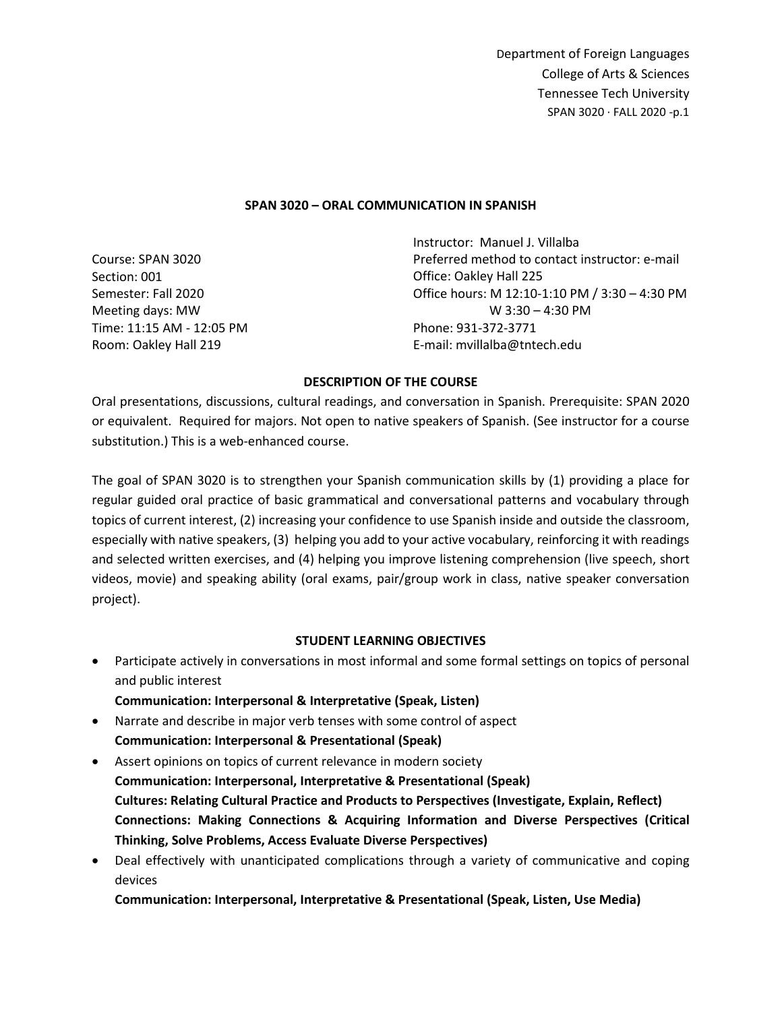#### **SPAN 3020 – ORAL COMMUNICATION IN SPANISH**

Course: SPAN 3020 Section: 001 Semester: Fall 2020 Meeting days: MW Time: 11:15 AM - 12:05 PM Room: Oakley Hall 219

Instructor: Manuel J. Villalba Preferred method to contact instructor: e-mail Office: Oakley Hall 225 Office hours: M 12:10-1:10 PM / 3:30 – 4:30 PM W 3:30 – 4:30 PM Phone: 931-372-3771 E-mail: mvillalba@tntech.edu

#### **DESCRIPTION OF THE COURSE**

Oral presentations, discussions, cultural readings, and conversation in Spanish. Prerequisite: SPAN 2020 or equivalent. Required for majors. Not open to native speakers of Spanish. (See instructor for a course substitution.) This is a web-enhanced course.

The goal of SPAN 3020 is to strengthen your Spanish communication skills by (1) providing a place for regular guided oral practice of basic grammatical and conversational patterns and vocabulary through topics of current interest, (2) increasing your confidence to use Spanish inside and outside the classroom, especially with native speakers, (3) helping you add to your active vocabulary, reinforcing it with readings and selected written exercises, and (4) helping you improve listening comprehension (live speech, short videos, movie) and speaking ability (oral exams, pair/group work in class, native speaker conversation project).

## **STUDENT LEARNING OBJECTIVES**

- Participate actively in conversations in most informal and some formal settings on topics of personal and public interest
	- **Communication: Interpersonal & Interpretative (Speak, Listen)**
- Narrate and describe in major verb tenses with some control of aspect **Communication: Interpersonal & Presentational (Speak)**
- Assert opinions on topics of current relevance in modern society **Communication: Interpersonal, Interpretative & Presentational (Speak) Cultures: Relating Cultural Practice and Products to Perspectives (Investigate, Explain, Reflect) Connections: Making Connections & Acquiring Information and Diverse Perspectives (Critical Thinking, Solve Problems, Access Evaluate Diverse Perspectives)**
- Deal effectively with unanticipated complications through a variety of communicative and coping devices

**Communication: Interpersonal, Interpretative & Presentational (Speak, Listen, Use Media)**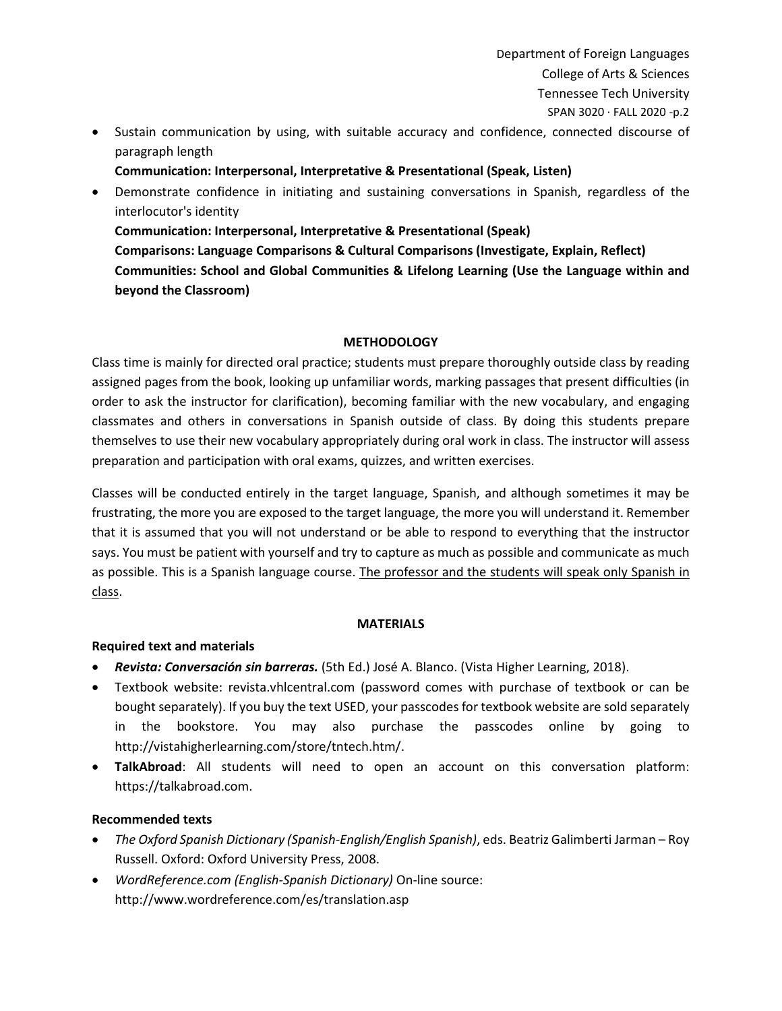- Sustain communication by using, with suitable accuracy and confidence, connected discourse of paragraph length
	- **Communication: Interpersonal, Interpretative & Presentational (Speak, Listen)**
- Demonstrate confidence in initiating and sustaining conversations in Spanish, regardless of the interlocutor's identity

**Communication: Interpersonal, Interpretative & Presentational (Speak) Comparisons: Language Comparisons & Cultural Comparisons (Investigate, Explain, Reflect) Communities: School and Global Communities & Lifelong Learning (Use the Language within and** 

**beyond the Classroom)**

## **METHODOLOGY**

Class time is mainly for directed oral practice; students must prepare thoroughly outside class by reading assigned pages from the book, looking up unfamiliar words, marking passages that present difficulties (in order to ask the instructor for clarification), becoming familiar with the new vocabulary, and engaging classmates and others in conversations in Spanish outside of class. By doing this students prepare themselves to use their new vocabulary appropriately during oral work in class. The instructor will assess preparation and participation with oral exams, quizzes, and written exercises.

Classes will be conducted entirely in the target language, Spanish, and although sometimes it may be frustrating, the more you are exposed to the target language, the more you will understand it. Remember that it is assumed that you will not understand or be able to respond to everything that the instructor says. You must be patient with yourself and try to capture as much as possible and communicate as much as possible. This is a Spanish language course. The professor and the students will speak only Spanish in class.

## **MATERIALS**

## **Required text and materials**

- *Revista: Conversación sin barreras.* (5th Ed.) José A. Blanco. (Vista Higher Learning, 2018).
- Textbook website: revista.vhlcentral.com (password comes with purchase of textbook or can be bought separately). If you buy the text USED, your passcodes for textbook website are sold separately in the bookstore. You may also purchase the passcodes online by going to http://vistahigherlearning.com/store/tntech.htm/.
- **TalkAbroad**: All students will need to open an account on this conversation platform: https://talkabroad.com.

## **Recommended texts**

- *The Oxford Spanish Dictionary (Spanish-English/English Spanish)*, eds. Beatriz Galimberti Jarman Roy Russell. Oxford: Oxford University Press, 2008.
- *WordReference.com (English-Spanish Dictionary)* On-line source: http://www.wordreference.com/es/translation.asp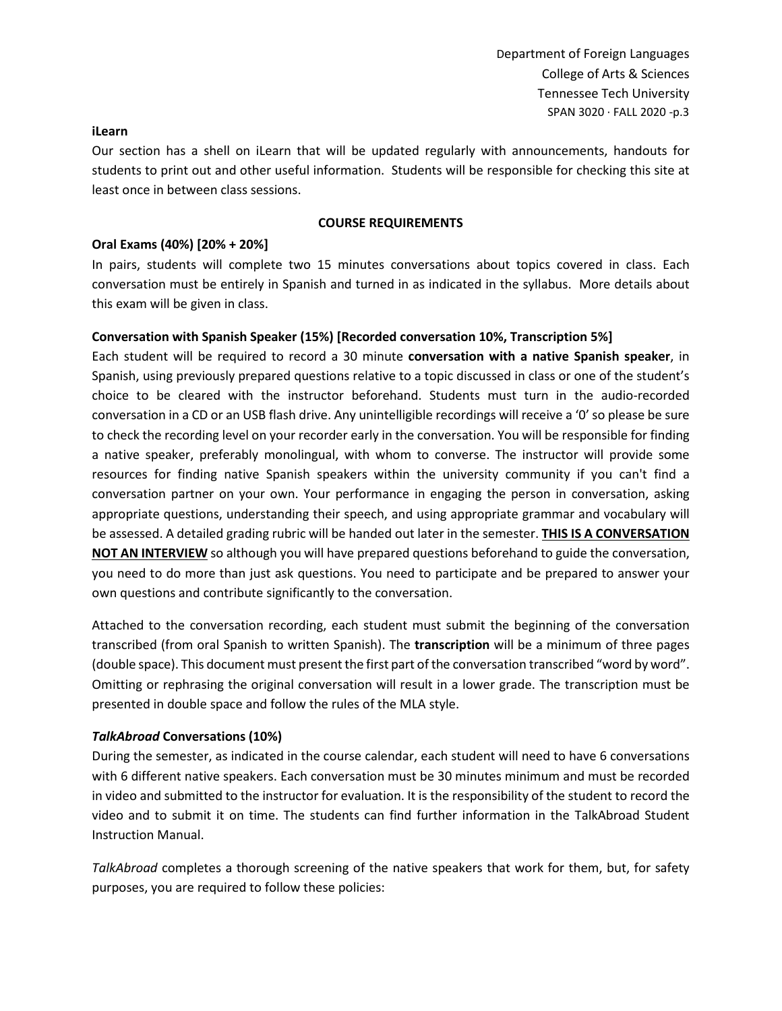#### **iLearn**

Our section has a shell on iLearn that will be updated regularly with announcements, handouts for students to print out and other useful information. Students will be responsible for checking this site at least once in between class sessions.

#### **COURSE REQUIREMENTS**

### **Oral Exams (40%) [20% + 20%]**

In pairs, students will complete two 15 minutes conversations about topics covered in class. Each conversation must be entirely in Spanish and turned in as indicated in the syllabus. More details about this exam will be given in class.

#### **Conversation with Spanish Speaker (15%) [Recorded conversation 10%, Transcription 5%]**

Each student will be required to record a 30 minute **conversation with a native Spanish speaker**, in Spanish, using previously prepared questions relative to a topic discussed in class or one of the student's choice to be cleared with the instructor beforehand. Students must turn in the audio-recorded conversation in a CD or an USB flash drive. Any unintelligible recordings will receive a '0' so please be sure to check the recording level on your recorder early in the conversation. You will be responsible for finding a native speaker, preferably monolingual, with whom to converse. The instructor will provide some resources for finding native Spanish speakers within the university community if you can't find a conversation partner on your own. Your performance in engaging the person in conversation, asking appropriate questions, understanding their speech, and using appropriate grammar and vocabulary will be assessed. A detailed grading rubric will be handed out later in the semester. **THIS IS A CONVERSATION NOT AN INTERVIEW** so although you will have prepared questions beforehand to guide the conversation, you need to do more than just ask questions. You need to participate and be prepared to answer your own questions and contribute significantly to the conversation.

Attached to the conversation recording, each student must submit the beginning of the conversation transcribed (from oral Spanish to written Spanish). The **transcription** will be a minimum of three pages (double space). This document must present the first part of the conversation transcribed "word by word". Omitting or rephrasing the original conversation will result in a lower grade. The transcription must be presented in double space and follow the rules of the MLA style.

#### *TalkAbroad* **Conversations (10%)**

During the semester, as indicated in the course calendar, each student will need to have 6 conversations with 6 different native speakers. Each conversation must be 30 minutes minimum and must be recorded in video and submitted to the instructor for evaluation. It is the responsibility of the student to record the video and to submit it on time. The students can find further information in the TalkAbroad Student Instruction Manual.

*TalkAbroad* completes a thorough screening of the native speakers that work for them, but, for safety purposes, you are required to follow these policies: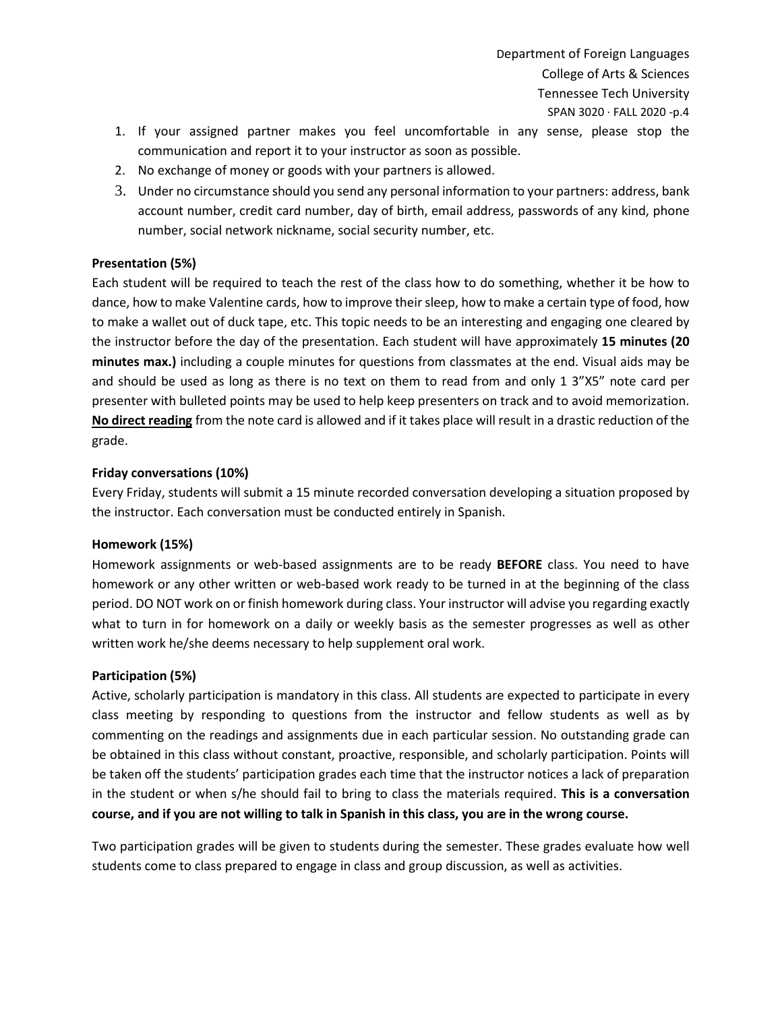- 1. If your assigned partner makes you feel uncomfortable in any sense, please stop the communication and report it to your instructor as soon as possible.
- 2. No exchange of money or goods with your partners is allowed.
- 3. Under no circumstance should you send any personal information to your partners: address, bank account number, credit card number, day of birth, email address, passwords of any kind, phone number, social network nickname, social security number, etc.

## **Presentation (5%)**

Each student will be required to teach the rest of the class how to do something, whether it be how to dance, how to make Valentine cards, how to improve their sleep, how to make a certain type of food, how to make a wallet out of duck tape, etc. This topic needs to be an interesting and engaging one cleared by the instructor before the day of the presentation. Each student will have approximately **15 minutes (20 minutes max.)** including a couple minutes for questions from classmates at the end. Visual aids may be and should be used as long as there is no text on them to read from and only 1 3"X5" note card per presenter with bulleted points may be used to help keep presenters on track and to avoid memorization. **No direct reading** from the note card is allowed and if it takes place will result in a drastic reduction of the grade.

## **Friday conversations (10%)**

Every Friday, students will submit a 15 minute recorded conversation developing a situation proposed by the instructor. Each conversation must be conducted entirely in Spanish.

## **Homework (15%)**

Homework assignments or web-based assignments are to be ready **BEFORE** class. You need to have homework or any other written or web-based work ready to be turned in at the beginning of the class period. DO NOT work on or finish homework during class. Your instructor will advise you regarding exactly what to turn in for homework on a daily or weekly basis as the semester progresses as well as other written work he/she deems necessary to help supplement oral work.

## **Participation (5%)**

Active, scholarly participation is mandatory in this class. All students are expected to participate in every class meeting by responding to questions from the instructor and fellow students as well as by commenting on the readings and assignments due in each particular session. No outstanding grade can be obtained in this class without constant, proactive, responsible, and scholarly participation. Points will be taken off the students' participation grades each time that the instructor notices a lack of preparation in the student or when s/he should fail to bring to class the materials required. **This is a conversation course, and if you are not willing to talk in Spanish in this class, you are in the wrong course.**

Two participation grades will be given to students during the semester. These grades evaluate how well students come to class prepared to engage in class and group discussion, as well as activities.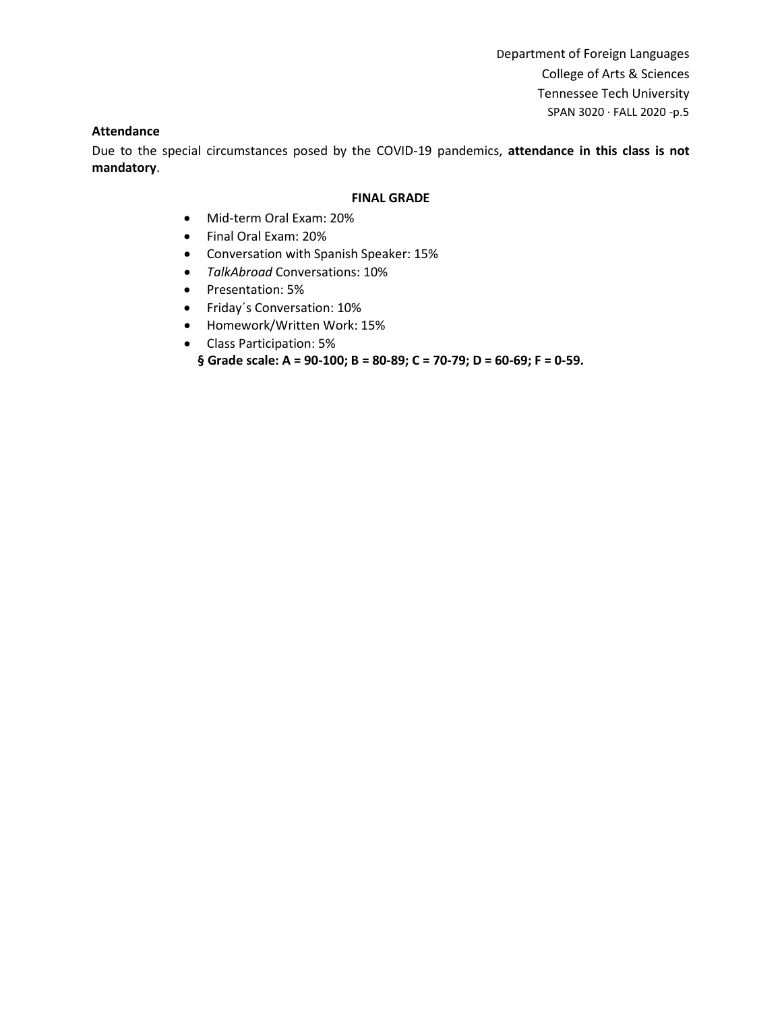### **Attendance**

Due to the special circumstances posed by the COVID-19 pandemics, **attendance in this class is not mandatory**.

#### **FINAL GRADE**

- Mid-term Oral Exam: 20%
- Final Oral Exam: 20%
- Conversation with Spanish Speaker: 15%
- *TalkAbroad* Conversations: 10%
- Presentation: 5%
- Friday´s Conversation: 10%
- Homework/Written Work: 15%
- Class Participation: 5%
	- **§ Grade scale: A = 90‐100; B = 80‐89; C = 70‐79; D = 60‐69; F = 0‐59.**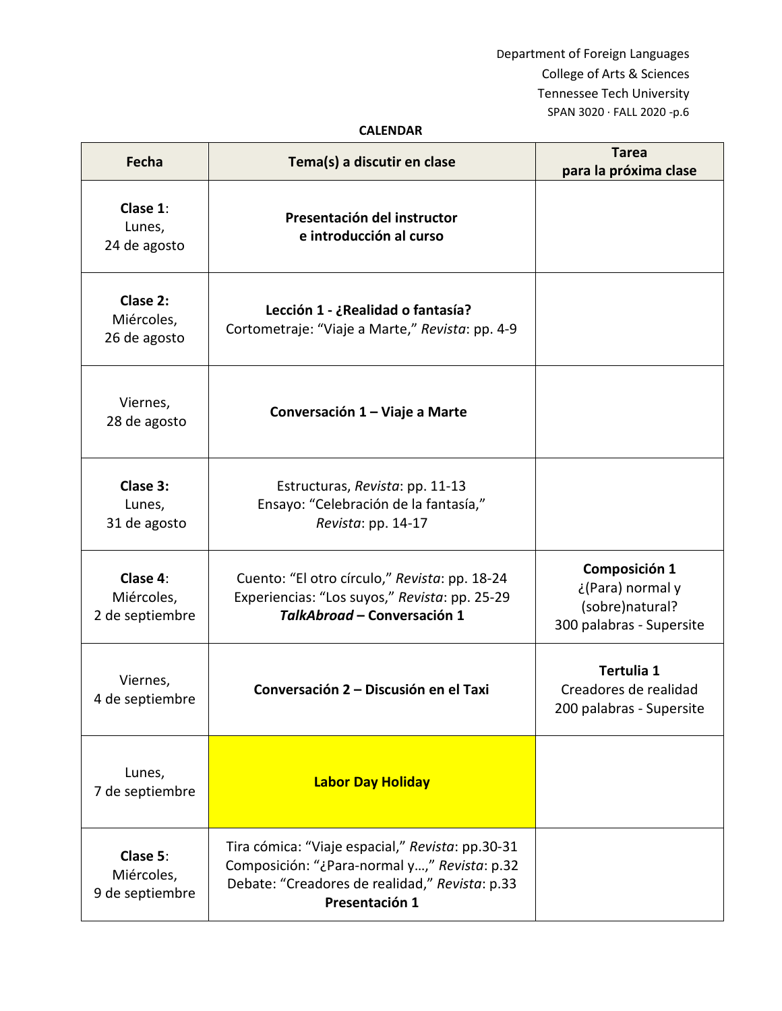# **CALENDAR**

| Fecha                                     | Tema(s) a discutir en clase                                                                                                                                          | <b>Tarea</b><br>para la próxima clase                                            |
|-------------------------------------------|----------------------------------------------------------------------------------------------------------------------------------------------------------------------|----------------------------------------------------------------------------------|
| Clase 1:<br>Lunes,<br>24 de agosto        | Presentación del instructor<br>e introducción al curso                                                                                                               |                                                                                  |
| Clase 2:<br>Miércoles,<br>26 de agosto    | Lección 1 - ¿Realidad o fantasía?<br>Cortometraje: "Viaje a Marte," Revista: pp. 4-9                                                                                 |                                                                                  |
| Viernes,<br>28 de agosto                  | Conversación 1 – Viaje a Marte                                                                                                                                       |                                                                                  |
| Clase 3:<br>Lunes,<br>31 de agosto        | Estructuras, Revista: pp. 11-13<br>Ensayo: "Celebración de la fantasía,"<br>Revista: pp. 14-17                                                                       |                                                                                  |
| Clase 4:<br>Miércoles,<br>2 de septiembre | Cuento: "El otro círculo," Revista: pp. 18-24<br>Experiencias: "Los suyos," Revista: pp. 25-29<br>TalkAbroad - Conversación 1                                        | Composición 1<br>¿(Para) normal y<br>(sobre)natural?<br>300 palabras - Supersite |
| Viernes,<br>4 de septiembre               | Conversación 2 – Discusión en el Taxi                                                                                                                                | Tertulia 1<br>Creadores de realidad<br>200 palabras - Supersite                  |
| Lunes,<br>7 de septiembre                 | <b>Labor Day Holiday</b>                                                                                                                                             |                                                                                  |
| Clase 5:<br>Miércoles,<br>9 de septiembre | Tira cómica: "Viaje espacial," Revista: pp.30-31<br>Composición: "¿Para-normal y," Revista: p.32<br>Debate: "Creadores de realidad," Revista: p.33<br>Presentación 1 |                                                                                  |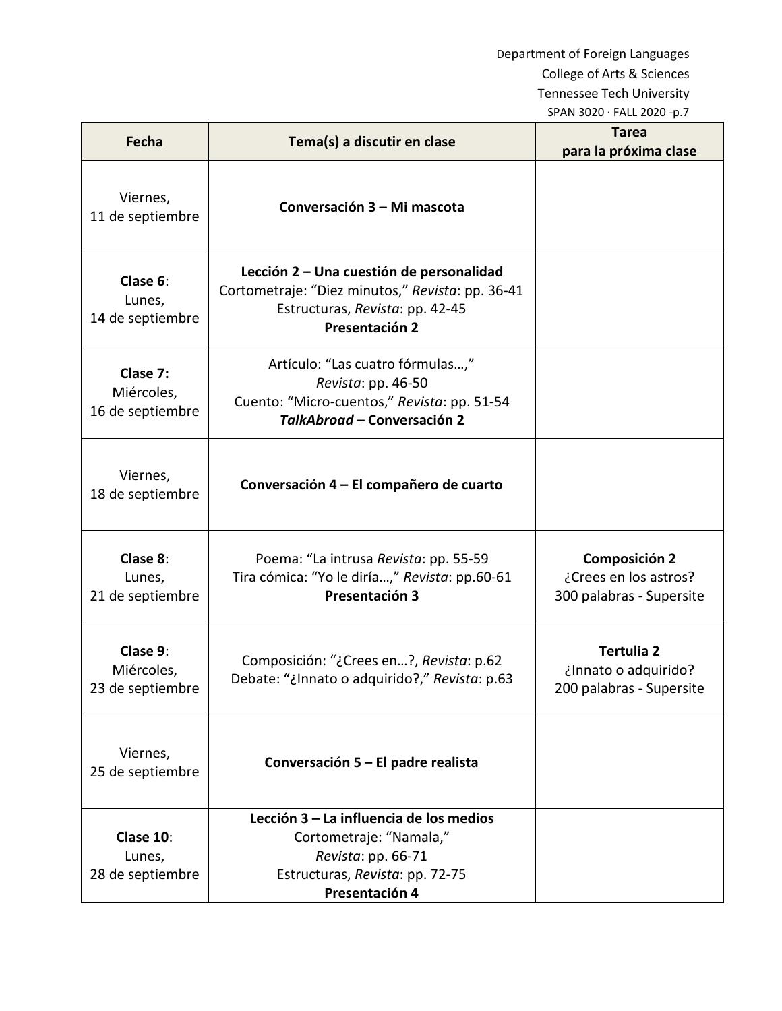| Fecha                                      | Tema(s) a discutir en clase                                                                                                                       | <b>Tarea</b><br>para la próxima clase                                     |
|--------------------------------------------|---------------------------------------------------------------------------------------------------------------------------------------------------|---------------------------------------------------------------------------|
| Viernes,<br>11 de septiembre               | Conversación 3 - Mi mascota                                                                                                                       |                                                                           |
| Clase 6:<br>Lunes,<br>14 de septiembre     | Lección 2 - Una cuestión de personalidad<br>Cortometraje: "Diez minutos," Revista: pp. 36-41<br>Estructuras, Revista: pp. 42-45<br>Presentación 2 |                                                                           |
| Clase 7:<br>Miércoles,<br>16 de septiembre | Artículo: "Las cuatro fórmulas,"<br>Revista: pp. 46-50<br>Cuento: "Micro-cuentos," Revista: pp. 51-54<br>TalkAbroad - Conversación 2              |                                                                           |
| Viernes,<br>18 de septiembre               | Conversación 4 – El compañero de cuarto                                                                                                           |                                                                           |
| Clase 8:<br>Lunes,<br>21 de septiembre     | Poema: "La intrusa Revista: pp. 55-59<br>Tira cómica: "Yo le diría," Revista: pp.60-61<br>Presentación 3                                          | <b>Composición 2</b><br>¿Crees en los astros?<br>300 palabras - Supersite |
| Clase 9:<br>Miércoles,<br>23 de septiembre | Composición: "¿Crees en?, Revista: p.62<br>Debate: "¿Innato o adquirido?," Revista: p.63                                                          | <b>Tertulia 2</b><br>¿Innato o adquirido?<br>200 palabras - Supersite     |
| Viernes,<br>25 de septiembre               | Conversación 5 – El padre realista                                                                                                                |                                                                           |
| Clase 10:<br>Lunes,<br>28 de septiembre    | Lección 3 - La influencia de los medios<br>Cortometraje: "Namala,"<br>Revista: pp. 66-71<br>Estructuras, Revista: pp. 72-75<br>Presentación 4     |                                                                           |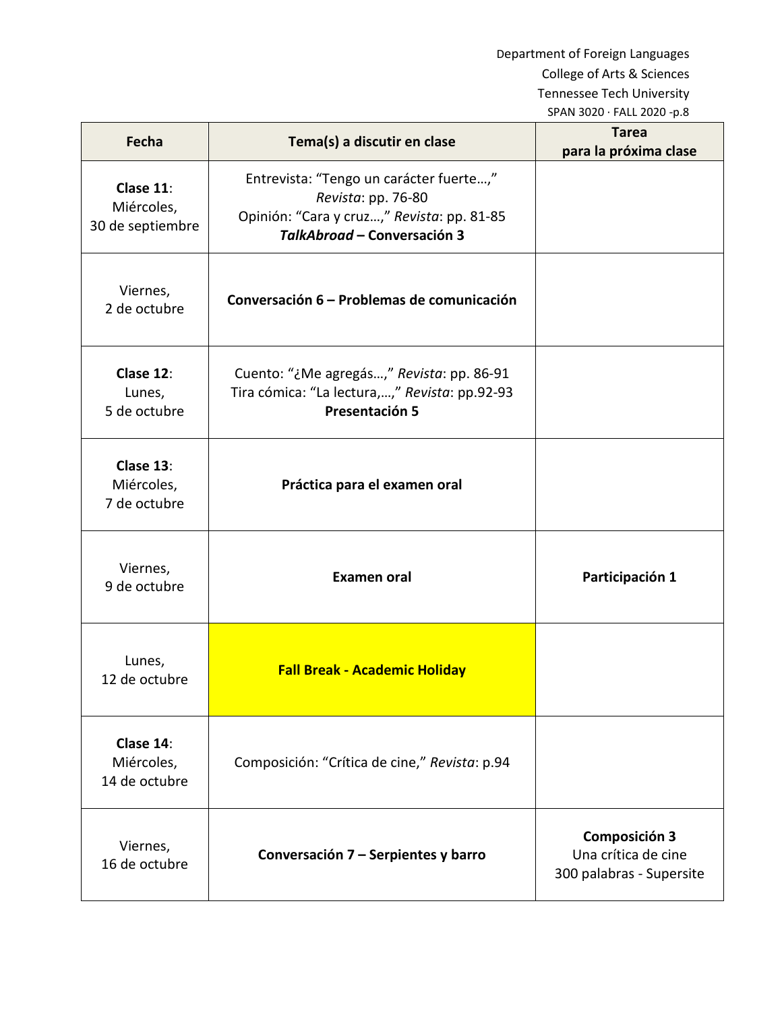| Fecha                                       | Tema(s) a discutir en clase                                                                                                                | <b>Tarea</b><br>para la próxima clase                                   |
|---------------------------------------------|--------------------------------------------------------------------------------------------------------------------------------------------|-------------------------------------------------------------------------|
| Clase 11:<br>Miércoles,<br>30 de septiembre | Entrevista: "Tengo un carácter fuerte,"<br>Revista: pp. 76-80<br>Opinión: "Cara y cruz," Revista: pp. 81-85<br>TalkAbroad - Conversación 3 |                                                                         |
| Viernes,<br>2 de octubre                    | Conversación 6 – Problemas de comunicación                                                                                                 |                                                                         |
| Clase 12:<br>Lunes,<br>5 de octubre         | Cuento: "¿Me agregás," Revista: pp. 86-91<br>Tira cómica: "La lectura,," Revista: pp.92-93<br>Presentación 5                               |                                                                         |
| Clase 13:<br>Miércoles,<br>7 de octubre     | Práctica para el examen oral                                                                                                               |                                                                         |
| Viernes,<br>9 de octubre                    | <b>Examen oral</b>                                                                                                                         | Participación 1                                                         |
| Lunes,<br>12 de octubre                     | <b>Fall Break - Academic Holiday</b>                                                                                                       |                                                                         |
| Clase 14:<br>Miércoles,<br>14 de octubre    | Composición: "Crítica de cine," Revista: p.94                                                                                              |                                                                         |
| Viernes,<br>16 de octubre                   | Conversación 7 – Serpientes y barro                                                                                                        | <b>Composición 3</b><br>Una crítica de cine<br>300 palabras - Supersite |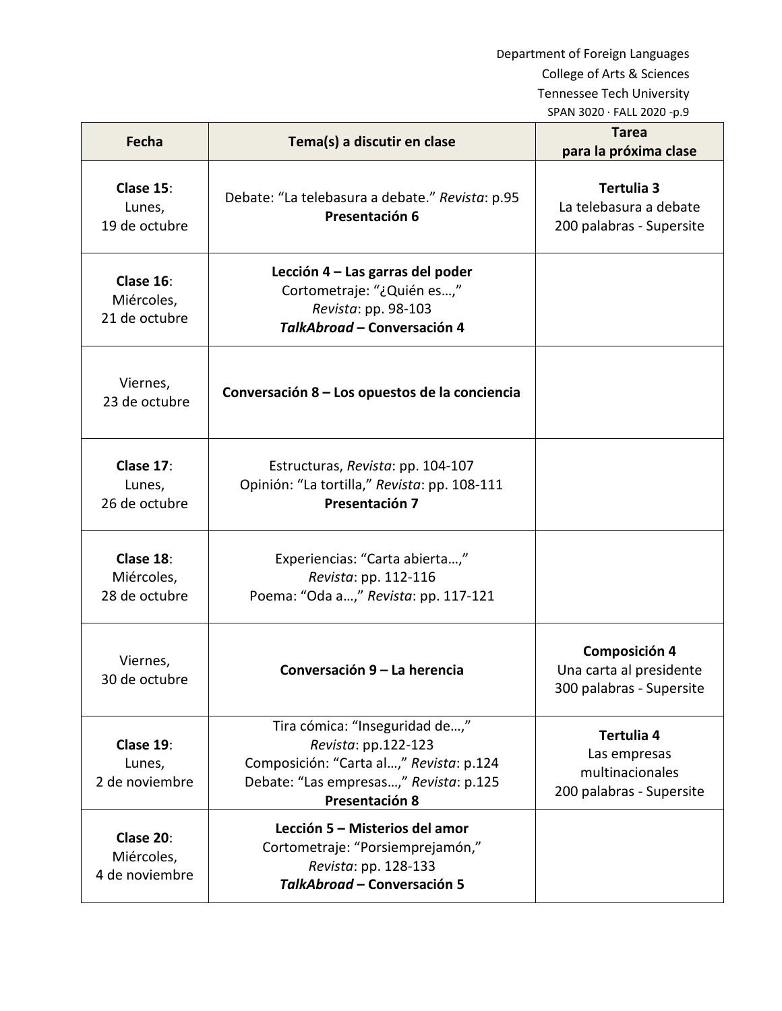| <b>Fecha</b>                              | Tema(s) a discutir en clase                                                                                                                                  | <b>Tarea</b><br>para la próxima clase                                       |
|-------------------------------------------|--------------------------------------------------------------------------------------------------------------------------------------------------------------|-----------------------------------------------------------------------------|
| Clase 15:<br>Lunes,<br>19 de octubre      | Debate: "La telebasura a debate." Revista: p.95<br>Presentación 6                                                                                            | Tertulia 3<br>La telebasura a debate<br>200 palabras - Supersite            |
| Clase 16:<br>Miércoles,<br>21 de octubre  | Lección 4 - Las garras del poder<br>Cortometraje: "¿Quién es,"<br>Revista: pp. 98-103<br>TalkAbroad - Conversación 4                                         |                                                                             |
| Viernes,<br>23 de octubre                 | Conversación 8 – Los opuestos de la conciencia                                                                                                               |                                                                             |
| Clase 17:<br>Lunes,<br>26 de octubre      | Estructuras, Revista: pp. 104-107<br>Opinión: "La tortilla," Revista: pp. 108-111<br>Presentación 7                                                          |                                                                             |
| Clase 18:<br>Miércoles,<br>28 de octubre  | Experiencias: "Carta abierta,"<br>Revista: pp. 112-116<br>Poema: "Oda a," Revista: pp. 117-121                                                               |                                                                             |
| Viernes,<br>30 de octubre                 | Conversación 9 - La herencia                                                                                                                                 | <b>Composición 4</b><br>Una carta al presidente<br>300 palabras - Supersite |
| Clase 19:<br>Lunes,<br>2 de noviembre     | Tira cómica: "Inseguridad de,"<br>Revista: pp.122-123<br>Composición: "Carta al," Revista: p.124<br>Debate: "Las empresas," Revista: p.125<br>Presentación 8 | Tertulia 4<br>Las empresas<br>multinacionales<br>200 palabras - Supersite   |
| Clase 20:<br>Miércoles,<br>4 de noviembre | Lección 5 – Misterios del amor<br>Cortometraje: "Porsiemprejamón,"<br>Revista: pp. 128-133<br>TalkAbroad - Conversación 5                                    |                                                                             |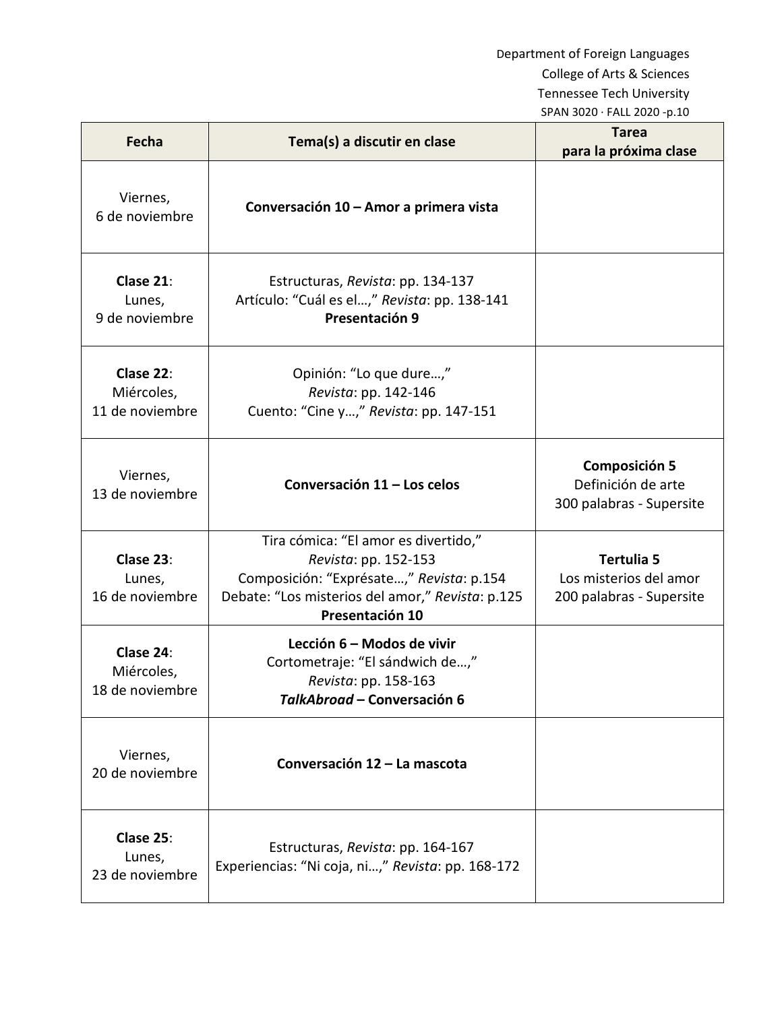| Fecha                                      | Tema(s) a discutir en clase                                                                                                                                                     | <b>Tarea</b><br>para la próxima clase                                   |
|--------------------------------------------|---------------------------------------------------------------------------------------------------------------------------------------------------------------------------------|-------------------------------------------------------------------------|
| Viernes,<br>6 de noviembre                 | Conversación 10 - Amor a primera vista                                                                                                                                          |                                                                         |
| Clase 21:<br>Lunes,<br>9 de noviembre      | Estructuras, Revista: pp. 134-137<br>Artículo: "Cuál es el," Revista: pp. 138-141<br>Presentación 9                                                                             |                                                                         |
| Clase 22:<br>Miércoles,<br>11 de noviembre | Opinión: "Lo que dure,"<br>Revista: pp. 142-146<br>Cuento: "Cine y," Revista: pp. 147-151                                                                                       |                                                                         |
| Viernes,<br>13 de noviembre                | Conversación 11 - Los celos                                                                                                                                                     | <b>Composición 5</b><br>Definición de arte<br>300 palabras - Supersite  |
| Clase 23:<br>Lunes,<br>16 de noviembre     | Tira cómica: "El amor es divertido,"<br>Revista: pp. 152-153<br>Composición: "Exprésate," Revista: p.154<br>Debate: "Los misterios del amor," Revista: p.125<br>Presentación 10 | <b>Tertulia 5</b><br>Los misterios del amor<br>200 palabras - Supersite |
| Clase 24:<br>Miércoles,<br>18 de noviembre | Lección 6 - Modos de vivir<br>Cortometraje: "El sándwich de,"<br>Revista: pp. 158-163<br>TalkAbroad - Conversación 6                                                            |                                                                         |
| Viernes,<br>20 de noviembre                | Conversación 12 - La mascota                                                                                                                                                    |                                                                         |
| Clase 25:<br>Lunes,<br>23 de noviembre     | Estructuras, Revista: pp. 164-167<br>Experiencias: "Ni coja, ni," Revista: pp. 168-172                                                                                          |                                                                         |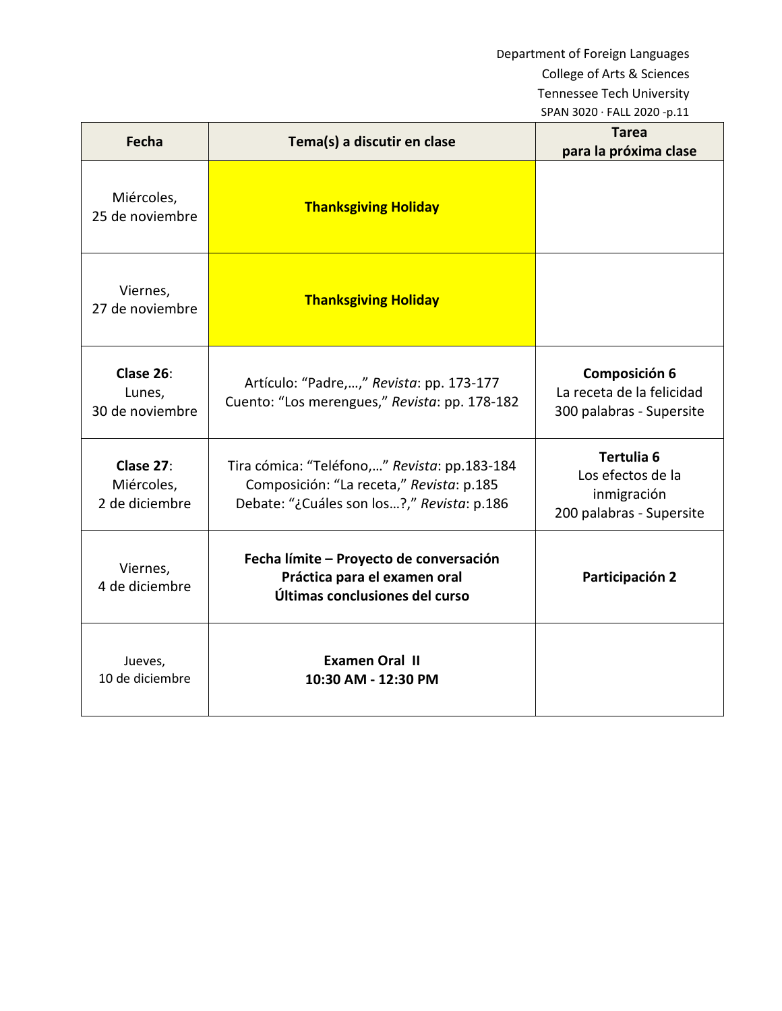| Fecha                                     | Tema(s) a discutir en clase                                                                                                            | Tarea<br>para la próxima clase                                             |
|-------------------------------------------|----------------------------------------------------------------------------------------------------------------------------------------|----------------------------------------------------------------------------|
| Miércoles,<br>25 de noviembre             | <b>Thanksgiving Holiday</b>                                                                                                            |                                                                            |
| Viernes,<br>27 de noviembre               | <b>Thanksgiving Holiday</b>                                                                                                            |                                                                            |
| Clase 26:<br>Lunes,<br>30 de noviembre    | Artículo: "Padre,," Revista: pp. 173-177<br>Cuento: "Los merengues," Revista: pp. 178-182                                              | Composición 6<br>La receta de la felicidad<br>300 palabras - Supersite     |
| Clase 27:<br>Miércoles,<br>2 de diciembre | Tira cómica: "Teléfono," Revista: pp.183-184<br>Composición: "La receta," Revista: p.185<br>Debate: "¿Cuáles son los?," Revista: p.186 | Tertulia 6<br>Los efectos de la<br>inmigración<br>200 palabras - Supersite |
| Viernes,<br>4 de diciembre                | Fecha límite - Proyecto de conversación<br>Práctica para el examen oral<br>Últimas conclusiones del curso                              | Participación 2                                                            |
| Jueves,<br>10 de diciembre                | <b>Examen Oral II</b><br>10:30 AM - 12:30 PM                                                                                           |                                                                            |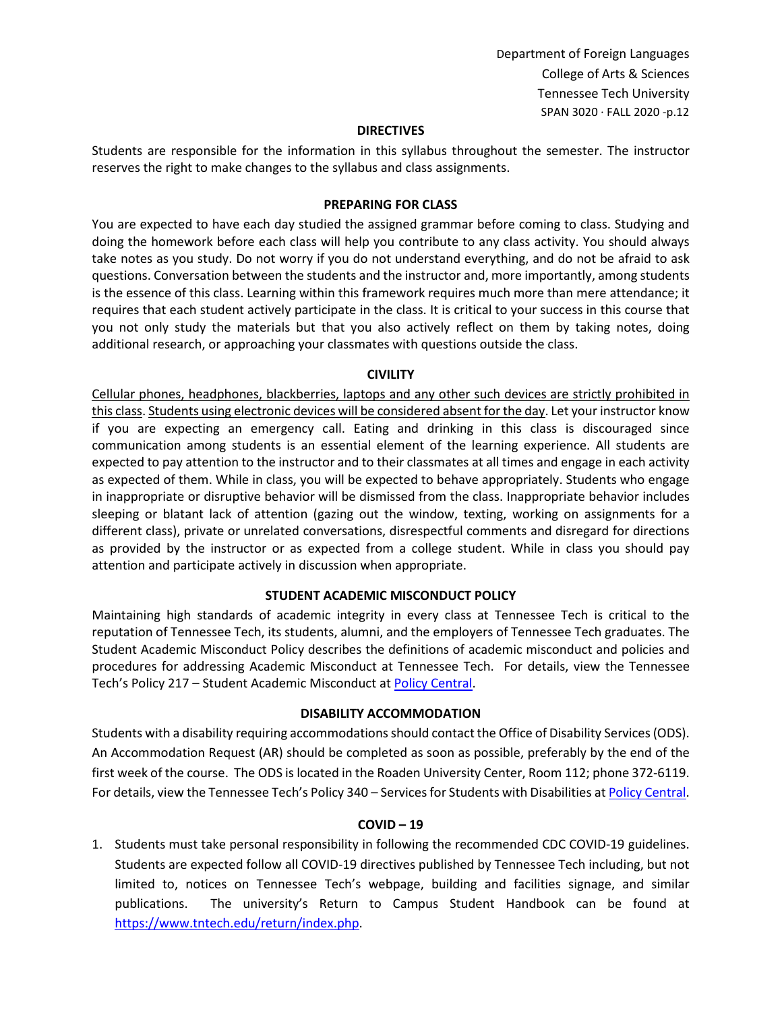### **DIRECTIVES**

Students are responsible for the information in this syllabus throughout the semester. The instructor reserves the right to make changes to the syllabus and class assignments.

### **PREPARING FOR CLASS**

You are expected to have each day studied the assigned grammar before coming to class. Studying and doing the homework before each class will help you contribute to any class activity. You should always take notes as you study. Do not worry if you do not understand everything, and do not be afraid to ask questions. Conversation between the students and the instructor and, more importantly, among students is the essence of this class. Learning within this framework requires much more than mere attendance; it requires that each student actively participate in the class. It is critical to your success in this course that you not only study the materials but that you also actively reflect on them by taking notes, doing additional research, or approaching your classmates with questions outside the class.

#### **CIVILITY**

Cellular phones, headphones, blackberries, laptops and any other such devices are strictly prohibited in this class. Students using electronic devices will be considered absent for the day. Let your instructor know if you are expecting an emergency call. Eating and drinking in this class is discouraged since communication among students is an essential element of the learning experience. All students are expected to pay attention to the instructor and to their classmates at all times and engage in each activity as expected of them. While in class, you will be expected to behave appropriately. Students who engage in inappropriate or disruptive behavior will be dismissed from the class. Inappropriate behavior includes sleeping or blatant lack of attention (gazing out the window, texting, working on assignments for a different class), private or unrelated conversations, disrespectful comments and disregard for directions as provided by the instructor or as expected from a college student. While in class you should pay attention and participate actively in discussion when appropriate.

## **STUDENT ACADEMIC MISCONDUCT POLICY**

Maintaining high standards of academic integrity in every class at Tennessee Tech is critical to the reputation of Tennessee Tech, its students, alumni, and the employers of Tennessee Tech graduates. The Student Academic Misconduct Policy describes the definitions of academic misconduct and policies and procedures for addressing Academic Misconduct at Tennessee Tech. For details, view the Tennessee Tech's Policy 217 – Student Academic Misconduct a[t Policy Central.](https://tntech.policytech.com/dotNet/noAuth/login.aspx?ReturnUrl=%2fDefault.aspx%3fauto%3dfalse&auto=false&public=true)

#### **DISABILITY ACCOMMODATION**

Students with a disability requiring accommodations should contact the Office of Disability Services (ODS). An Accommodation Request (AR) should be completed as soon as possible, preferably by the end of the first week of the course. The ODS is located in the Roaden University Center, Room 112; phone 372-6119. For details, view the Tennessee Tech's Policy 340 – Services for Students with Disabilities a[t Policy Central.](https://tntech.policytech.com/dotNet/noAuth/login.aspx?ReturnUrl=%2fDefault.aspx%3fauto%3dfalse&auto=false&public=true)

#### **COVID – 19**

1. Students must take personal responsibility in following the recommended CDC COVID-19 guidelines. Students are expected follow all COVID-19 directives published by Tennessee Tech including, but not limited to, notices on Tennessee Tech's webpage, building and facilities signage, and similar publications. The university's Return to Campus Student Handbook can be found at [https://www.tntech.edu/return/index.php.](https://www.tntech.edu/return/index.php)